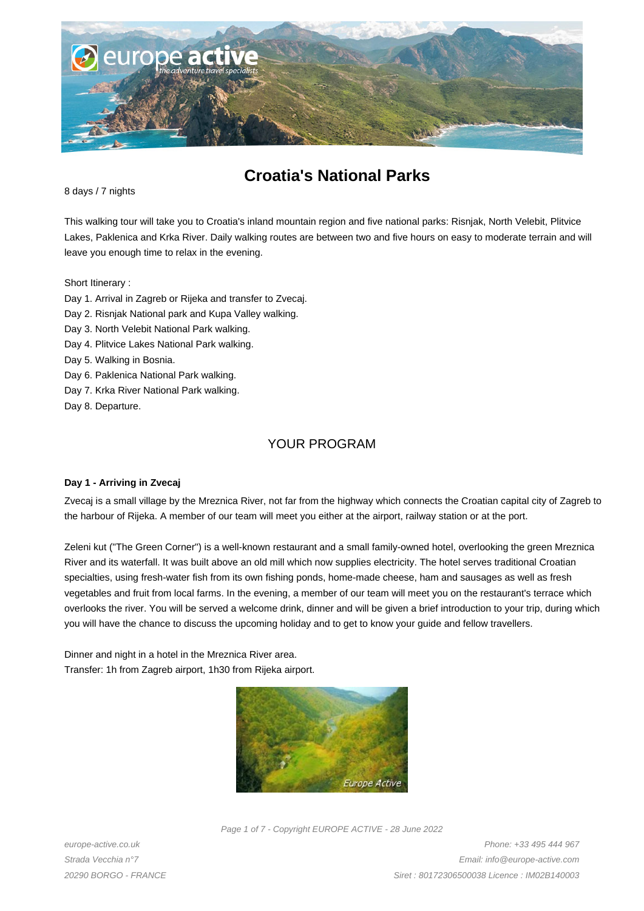

# **Croatia's National Parks**

8 days / 7 nights

This walking tour will take you to Croatia's inland mountain region and five national parks: Risnjak, North Velebit, Plitvice Lakes, Paklenica and Krka River. Daily walking routes are between two and five hours on easy to moderate terrain and will leave you enough time to relax in the evening.

Short Itinerary :

- Day 1. Arrival in Zagreb or Rijeka and transfer to Zvecaj.
- Day 2. Risnjak National park and Kupa Valley walking.
- Day 3. North Velebit National Park walking.
- Day 4. Plitvice Lakes National Park walking.
- Day 5. Walking in Bosnia.
- Day 6. Paklenica National Park walking.
- Day 7. Krka River National Park walking.
- Day 8. Departure.

## YOUR PROGRAM

## **Day 1 - Arriving in Zvecaj**

Zvecaj is a small village by the Mreznica River, not far from the highway which connects the Croatian capital city of Zagreb to the harbour of Rijeka. A member of our team will meet you either at the airport, railway station or at the port.

Zeleni kut ("The Green Corner") is a well-known restaurant and a small family-owned hotel, overlooking the green Mreznica River and its waterfall. It was built above an old mill which now supplies electricity. The hotel serves traditional Croatian specialties, using fresh-water fish from its own fishing ponds, home-made cheese, ham and sausages as well as fresh vegetables and fruit from local farms. In the evening, a member of our team will meet you on the restaurant's terrace which overlooks the river. You will be served a welcome drink, dinner and will be given a brief introduction to your trip, during which you will have the chance to discuss the upcoming holiday and to get to know your guide and fellow travellers.

Dinner and night in a hotel in the Mreznica River area. Transfer: 1h from Zagreb airport, 1h30 from Rijeka airport.



Page 1 of 7 - Copyright EUROPE ACTIVE - 28 June 2022

europe-active.co.uk Strada Vecchia n°7 20290 BORGO - FRANCE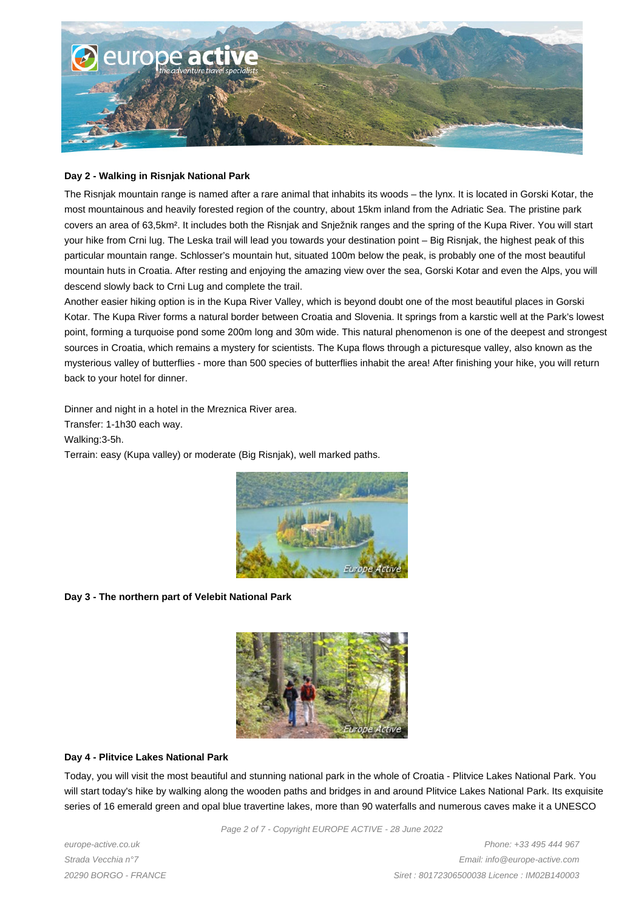

#### **Day 2 - Walking in Risnjak National Park**

The Risnjak mountain range is named after a rare animal that inhabits its woods – the lynx. It is located in Gorski Kotar, the most mountainous and heavily forested region of the country, about 15km inland from the Adriatic Sea. The pristine park covers an area of 63,5km². It includes both the Risnjak and Snježnik ranges and the spring of the Kupa River. You will start your hike from Crni lug. The Leska trail will lead you towards your destination point – Big Risnjak, the highest peak of this particular mountain range. Schlosser's mountain hut, situated 100m below the peak, is probably one of the most beautiful mountain huts in Croatia. After resting and enjoying the amazing view over the sea, Gorski Kotar and even the Alps, you will descend slowly back to Crni Lug and complete the trail.

Another easier hiking option is in the Kupa River Valley, which is beyond doubt one of the most beautiful places in Gorski Kotar. The Kupa River forms a natural border between Croatia and Slovenia. It springs from a karstic well at the Park's lowest point, forming a turquoise pond some 200m long and 30m wide. This natural phenomenon is one of the deepest and strongest sources in Croatia, which remains a mystery for scientists. The Kupa flows through a picturesque valley, also known as the mysterious valley of butterflies - more than 500 species of butterflies inhabit the area! After finishing your hike, you will return back to your hotel for dinner.

Dinner and night in a hotel in the Mreznica River area.

Transfer: 1-1h30 each way.

Walking:3-5h.

Terrain: easy (Kupa valley) or moderate (Big Risnjak), well marked paths.



## **Day 3 - The northern part of Velebit National Park**



## **Day 4 - Plitvice Lakes National Park**

Today, you will visit the most beautiful and stunning national park in the whole of Croatia - Plitvice Lakes National Park. You will start today's hike by walking along the wooden paths and bridges in and around Plitvice Lakes National Park. Its exquisite series of 16 emerald green and opal blue travertine lakes, more than 90 waterfalls and numerous caves make it a UNESCO

Page 2 of 7 - Copyright EUROPE ACTIVE - 28 June 2022

europe-active.co.uk Strada Vecchia n°7 20290 BORGO - FRANCE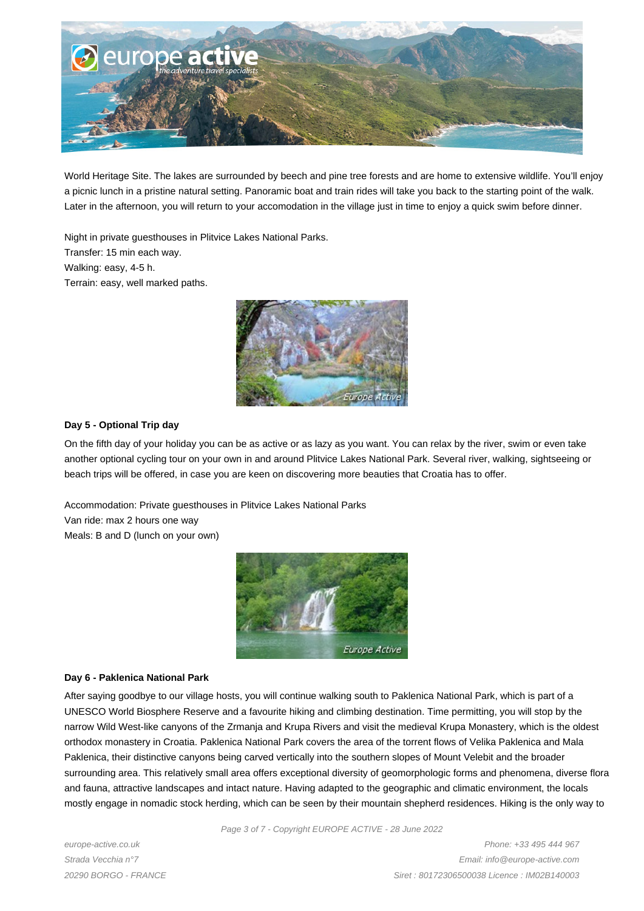

World Heritage Site. The lakes are surrounded by beech and pine tree forests and are home to extensive wildlife. You'll enjoy a picnic lunch in a pristine natural setting. Panoramic boat and train rides will take you back to the starting point of the walk. Later in the afternoon, you will return to your accomodation in the village just in time to enjoy a quick swim before dinner.

Night in private guesthouses in Plitvice Lakes National Parks. Transfer: 15 min each way. Walking: easy, 4-5 h. Terrain: easy, well marked paths.



## **Day 5 - Optional Trip day**

On the fifth day of your holiday you can be as active or as lazy as you want. You can relax by the river, swim or even take another optional cycling tour on your own in and around Plitvice Lakes National Park. Several river, walking, sightseeing or beach trips will be offered, in case you are keen on discovering more beauties that Croatia has to offer.

Accommodation: Private guesthouses in Plitvice Lakes National Parks Van ride: max 2 hours one way Meals: B and D (lunch on your own)



## **Day 6 - Paklenica National Park**

After saying goodbye to our village hosts, you will continue walking south to Paklenica National Park, which is part of a UNESCO World Biosphere Reserve and a favourite hiking and climbing destination. Time permitting, you will stop by the narrow Wild West-like canyons of the Zrmanja and Krupa Rivers and visit the medieval Krupa Monastery, which is the oldest orthodox monastery in Croatia. Paklenica National Park covers the area of the torrent flows of Velika Paklenica and Mala Paklenica, their distinctive canyons being carved vertically into the southern slopes of Mount Velebit and the broader surrounding area. This relatively small area offers exceptional diversity of geomorphologic forms and phenomena, diverse flora and fauna, attractive landscapes and intact nature. Having adapted to the geographic and climatic environment, the locals mostly engage in nomadic stock herding, which can be seen by their mountain shepherd residences. Hiking is the only way to

Page 3 of 7 - Copyright EUROPE ACTIVE - 28 June 2022

europe-active.co.uk Strada Vecchia n°7 20290 BORGO - FRANCE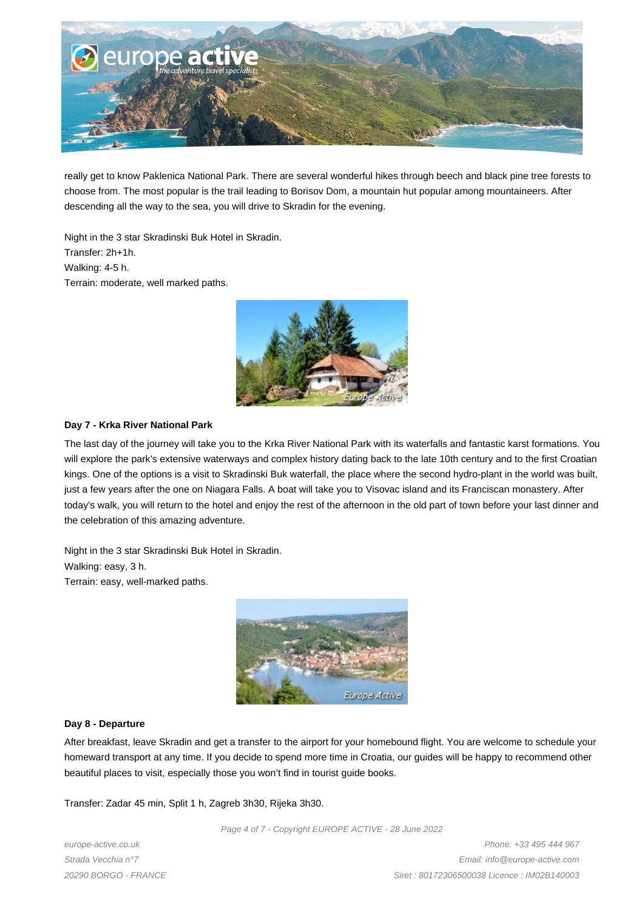

really get to know Paklenica National Park. There are several wonderful hikes through beech and black pine tree forests to choose from. The most popular is the trail leading to Borisov Dom, a mountain hut popular among mountaineers. After descending all the way to the sea, you will drive to Skradin for the evening.

Night in the 3 star Skradinski Buk Hotel in Skradin. Transfer: 2h+1h. Walking: 4-5 h. Terrain: moderate, well marked paths.



## **Day 7 - Krka River National Park**

The last day of the journey will take you to the Krka River National Park with its waterfalls and fantastic karst formations. You will explore the park's extensive waterways and complex history dating back to the late 10th century and to the first Croatian kings. One of the options is a visit to Skradinski Buk waterfall, the place where the second hydro-plant in the world was built, just a few years after the one on Niagara Falls. A boat will take you to Visovac island and its Franciscan monastery. After today's walk, you will return to the hotel and enjoy the rest of the afternoon in the old part of town before your last dinner and the celebration of this amazing adventure.

Night in the 3 star Skradinski Buk Hotel in Skradin. Walking: easy, 3 h. Terrain: easy, well-marked paths.



## **Day 8 - Departure**

After breakfast, leave Skradin and get a transfer to the airport for your homebound flight. You are welcome to schedule your homeward transport at any time. If you decide to spend more time in Croatia, our guides will be happy to recommend other beautiful places to visit, especially those you won't find in tourist guide books.

Transfer: Zadar 45 min, Split 1 h, Zagreb 3h30, Rijeka 3h30.

Page 4 of 7 - Copyright EUROPE ACTIVE - 28 June 2022

europe-active.co.uk Strada Vecchia n°7 20290 BORGO - FRANCE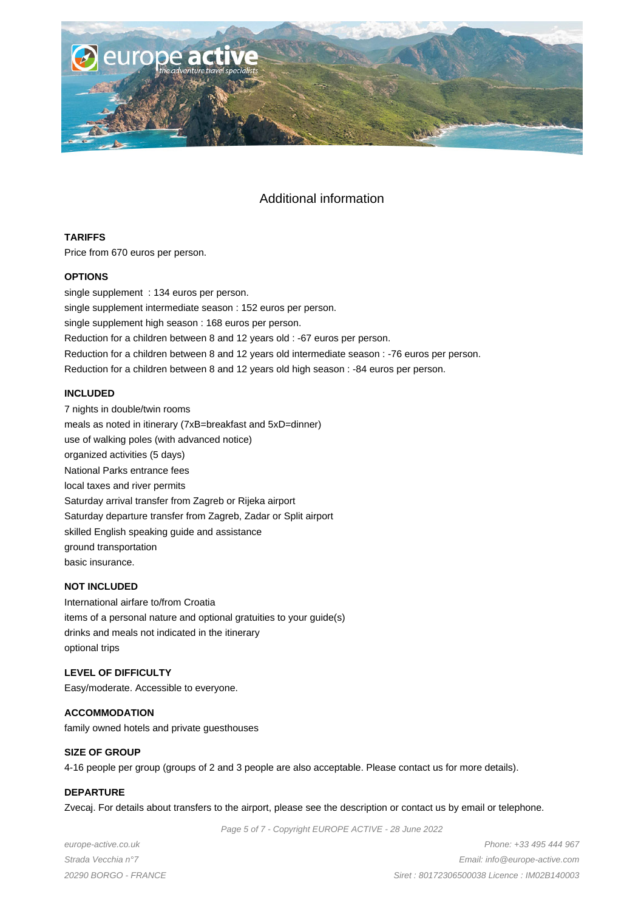

## Additional information

## **TARIFFS**

Price from 670 euros per person.

## **OPTIONS**

single supplement : 134 euros per person. single supplement intermediate season : 152 euros per person. single supplement high season : 168 euros per person. Reduction for a children between 8 and 12 years old : -67 euros per person. Reduction for a children between 8 and 12 years old intermediate season : -76 euros per person. Reduction for a children between 8 and 12 years old high season : -84 euros per person.

## **INCLUDED**

7 nights in double/twin rooms meals as noted in itinerary (7xB=breakfast and 5xD=dinner) use of walking poles (with advanced notice) organized activities (5 days) National Parks entrance fees local taxes and river permits Saturday arrival transfer from Zagreb or Rijeka airport Saturday departure transfer from Zagreb, Zadar or Split airport skilled English speaking guide and assistance ground transportation basic insurance.

## **NOT INCLUDED**

International airfare to/from Croatia items of a personal nature and optional gratuities to your guide(s) drinks and meals not indicated in the itinerary optional trips

## **LEVEL OF DIFFICULTY**

Easy/moderate. Accessible to everyone.

**ACCOMMODATION** family owned hotels and private guesthouses

## **SIZE OF GROUP**

4-16 people per group (groups of 2 and 3 people are also acceptable. Please contact us for more details).

## **DEPARTURE**

Zvecaj. For details about transfers to the airport, please see the description or contact us by email or telephone.

Page 5 of 7 - Copyright EUROPE ACTIVE - 28 June 2022

europe-active.co.uk Strada Vecchia n°7 20290 BORGO - FRANCE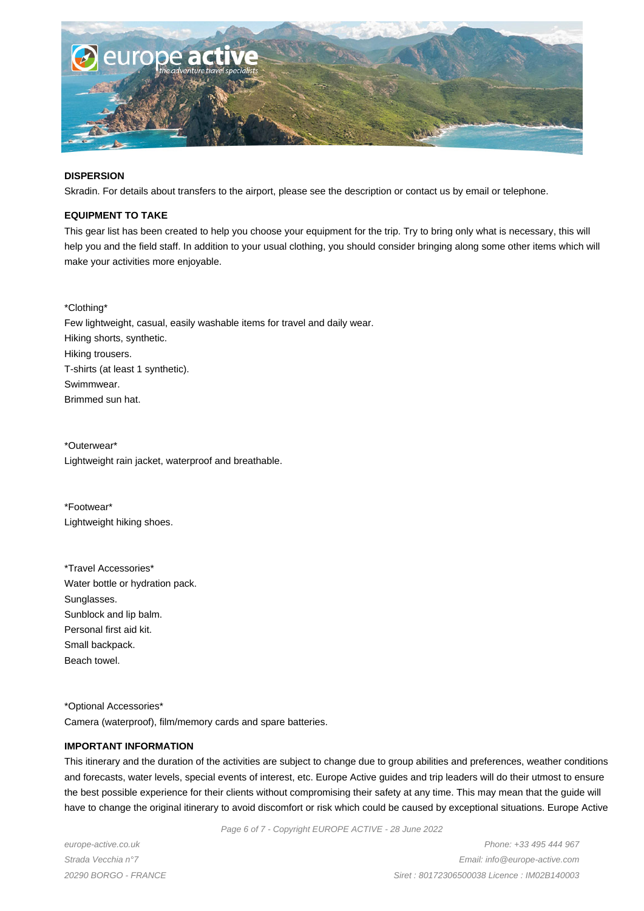

#### **DISPERSION**

Skradin. For details about transfers to the airport, please see the description or contact us by email or telephone.

#### **EQUIPMENT TO TAKE**

This gear list has been created to help you choose your equipment for the trip. Try to bring only what is necessary, this will help you and the field staff. In addition to your usual clothing, you should consider bringing along some other items which will make your activities more enjoyable.

\*Clothing\* Few lightweight, casual, easily washable items for travel and daily wear. Hiking shorts, synthetic. Hiking trousers. T-shirts (at least 1 synthetic). Swimmwear. Brimmed sun hat.

\*Outerwear\* Lightweight rain jacket, waterproof and breathable.

\*Footwear\* Lightweight hiking shoes.

\*Travel Accessories\* Water bottle or hydration pack. Sunglasses. Sunblock and lip balm. Personal first aid kit. Small backpack. Beach towel.

\*Optional Accessories\* Camera (waterproof), film/memory cards and spare batteries.

#### **IMPORTANT INFORMATION**

This itinerary and the duration of the activities are subject to change due to group abilities and preferences, weather conditions and forecasts, water levels, special events of interest, etc. Europe Active guides and trip leaders will do their utmost to ensure the best possible experience for their clients without compromising their safety at any time. This may mean that the guide will have to change the original itinerary to avoid discomfort or risk which could be caused by exceptional situations. Europe Active

Page 6 of 7 - Copyright EUROPE ACTIVE - 28 June 2022

europe-active.co.uk Strada Vecchia n°7 20290 BORGO - FRANCE